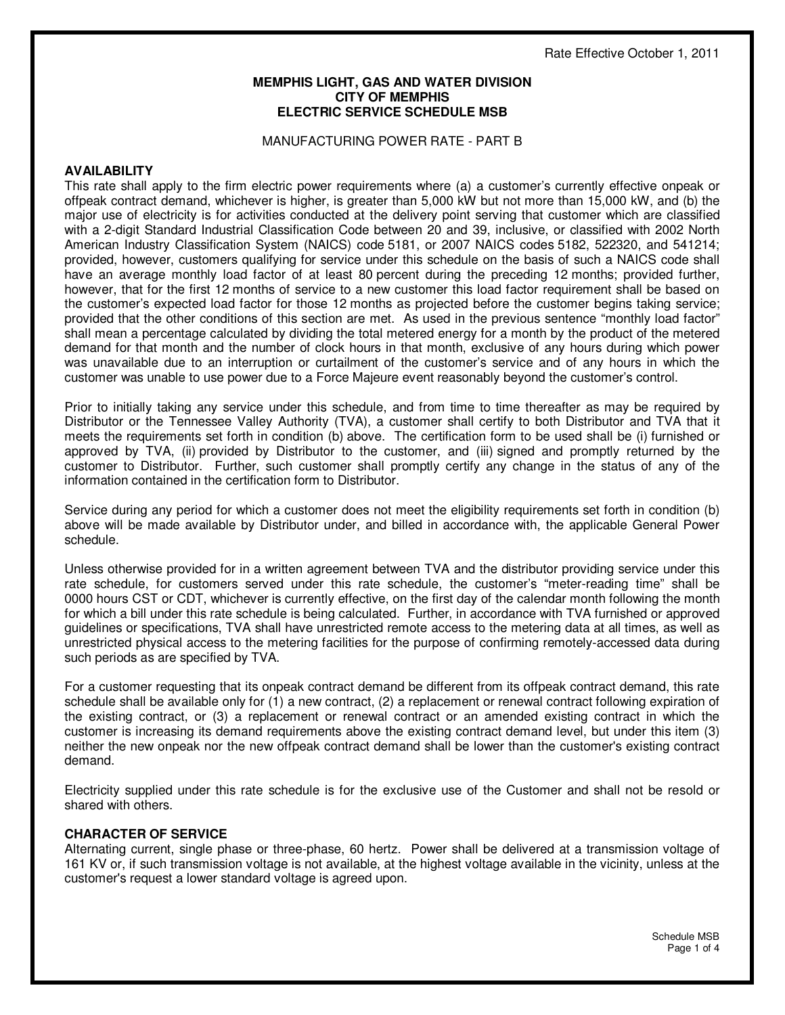#### **MEMPHIS LIGHT, GAS AND WATER DIVISION CITY OF MEMPHIS ELECTRIC SERVICE SCHEDULE MSB**

#### MANUFACTURING POWER RATE - PART B

#### **AVAILABILITY**

This rate shall apply to the firm electric power requirements where (a) a customer's currently effective onpeak or offpeak contract demand, whichever is higher, is greater than 5,000 kW but not more than 15,000 kW, and (b) the major use of electricity is for activities conducted at the delivery point serving that customer which are classified with a 2-digit Standard Industrial Classification Code between 20 and 39, inclusive, or classified with 2002 North American Industry Classification System (NAICS) code 5181, or 2007 NAICS codes 5182, 522320, and 541214; provided, however, customers qualifying for service under this schedule on the basis of such a NAICS code shall have an average monthly load factor of at least 80 percent during the preceding 12 months; provided further, however, that for the first 12 months of service to a new customer this load factor requirement shall be based on the customer's expected load factor for those 12 months as projected before the customer begins taking service; provided that the other conditions of this section are met. As used in the previous sentence "monthly load factor" shall mean a percentage calculated by dividing the total metered energy for a month by the product of the metered demand for that month and the number of clock hours in that month, exclusive of any hours during which power was unavailable due to an interruption or curtailment of the customer's service and of any hours in which the customer was unable to use power due to a Force Majeure event reasonably beyond the customer's control.

Prior to initially taking any service under this schedule, and from time to time thereafter as may be required by Distributor or the Tennessee Valley Authority (TVA), a customer shall certify to both Distributor and TVA that it meets the requirements set forth in condition (b) above. The certification form to be used shall be (i) furnished or approved by TVA, (ii) provided by Distributor to the customer, and (iii) signed and promptly returned by the customer to Distributor. Further, such customer shall promptly certify any change in the status of any of the information contained in the certification form to Distributor.

Service during any period for which a customer does not meet the eligibility requirements set forth in condition (b) above will be made available by Distributor under, and billed in accordance with, the applicable General Power schedule.

Unless otherwise provided for in a written agreement between TVA and the distributor providing service under this rate schedule, for customers served under this rate schedule, the customer's "meter-reading time" shall be 0000 hours CST or CDT, whichever is currently effective, on the first day of the calendar month following the month for which a bill under this rate schedule is being calculated. Further, in accordance with TVA furnished or approved guidelines or specifications, TVA shall have unrestricted remote access to the metering data at all times, as well as unrestricted physical access to the metering facilities for the purpose of confirming remotely-accessed data during such periods as are specified by TVA.

For a customer requesting that its onpeak contract demand be different from its offpeak contract demand, this rate schedule shall be available only for (1) a new contract, (2) a replacement or renewal contract following expiration of the existing contract, or (3) a replacement or renewal contract or an amended existing contract in which the customer is increasing its demand requirements above the existing contract demand level, but under this item (3) neither the new onpeak nor the new offpeak contract demand shall be lower than the customer's existing contract demand.

Electricity supplied under this rate schedule is for the exclusive use of the Customer and shall not be resold or shared with others.

#### **CHARACTER OF SERVICE**

Alternating current, single phase or three-phase, 60 hertz. Power shall be delivered at a transmission voltage of 161 KV or, if such transmission voltage is not available, at the highest voltage available in the vicinity, unless at the customer's request a lower standard voltage is agreed upon.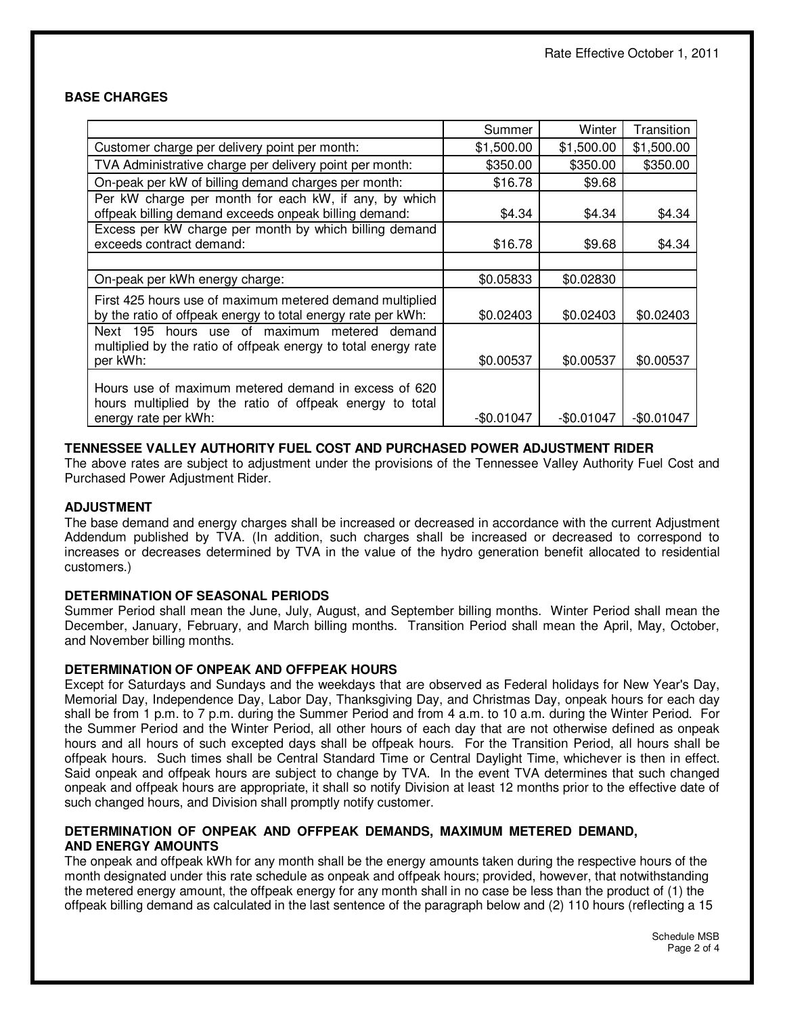## **BASE CHARGES**

|                                                                                                                                          | Summer      | Winter     | Transition  |
|------------------------------------------------------------------------------------------------------------------------------------------|-------------|------------|-------------|
| Customer charge per delivery point per month:                                                                                            | \$1,500.00  | \$1,500.00 | \$1,500.00  |
| TVA Administrative charge per delivery point per month:                                                                                  | \$350.00    | \$350.00   | \$350.00    |
| On-peak per kW of billing demand charges per month:                                                                                      | \$16.78     | \$9.68     |             |
| Per kW charge per month for each kW, if any, by which<br>offpeak billing demand exceeds onpeak billing demand:                           | \$4.34      | \$4.34     | \$4.34      |
| Excess per kW charge per month by which billing demand<br>exceeds contract demand:                                                       | \$16.78     | \$9.68     | \$4.34      |
|                                                                                                                                          |             |            |             |
| On-peak per kWh energy charge:                                                                                                           | \$0.05833   | \$0.02830  |             |
| First 425 hours use of maximum metered demand multiplied<br>by the ratio of offpeak energy to total energy rate per kWh:                 | \$0.02403   | \$0.02403  | \$0.02403   |
| hours use of maximum metered demand<br>Next 195<br>multiplied by the ratio of offpeak energy to total energy rate<br>per kWh:            | \$0.00537   | \$0.00537  | \$0.00537   |
| Hours use of maximum metered demand in excess of 620<br>hours multiplied by the ratio of offpeak energy to total<br>energy rate per kWh: | $-$0.01047$ | -\$0.01047 | $-$0.01047$ |

# **TENNESSEE VALLEY AUTHORITY FUEL COST AND PURCHASED POWER ADJUSTMENT RIDER**

The above rates are subject to adjustment under the provisions of the Tennessee Valley Authority Fuel Cost and Purchased Power Adjustment Rider.

### **ADJUSTMENT**

The base demand and energy charges shall be increased or decreased in accordance with the current Adjustment Addendum published by TVA. (In addition, such charges shall be increased or decreased to correspond to increases or decreases determined by TVA in the value of the hydro generation benefit allocated to residential customers.)

## **DETERMINATION OF SEASONAL PERIODS**

Summer Period shall mean the June, July, August, and September billing months. Winter Period shall mean the December, January, February, and March billing months. Transition Period shall mean the April, May, October, and November billing months.

## **DETERMINATION OF ONPEAK AND OFFPEAK HOURS**

Except for Saturdays and Sundays and the weekdays that are observed as Federal holidays for New Year's Day, Memorial Day, Independence Day, Labor Day, Thanksgiving Day, and Christmas Day, onpeak hours for each day shall be from 1 p.m. to 7 p.m. during the Summer Period and from 4 a.m. to 10 a.m. during the Winter Period. For the Summer Period and the Winter Period, all other hours of each day that are not otherwise defined as onpeak hours and all hours of such excepted days shall be offpeak hours. For the Transition Period, all hours shall be offpeak hours. Such times shall be Central Standard Time or Central Daylight Time, whichever is then in effect. Said onpeak and offpeak hours are subject to change by TVA. In the event TVA determines that such changed onpeak and offpeak hours are appropriate, it shall so notify Division at least 12 months prior to the effective date of such changed hours, and Division shall promptly notify customer.

### **DETERMINATION OF ONPEAK AND OFFPEAK DEMANDS, MAXIMUM METERED DEMAND, AND ENERGY AMOUNTS**

The onpeak and offpeak kWh for any month shall be the energy amounts taken during the respective hours of the month designated under this rate schedule as onpeak and offpeak hours; provided, however, that notwithstanding the metered energy amount, the offpeak energy for any month shall in no case be less than the product of (1) the offpeak billing demand as calculated in the last sentence of the paragraph below and (2) 110 hours (reflecting a 15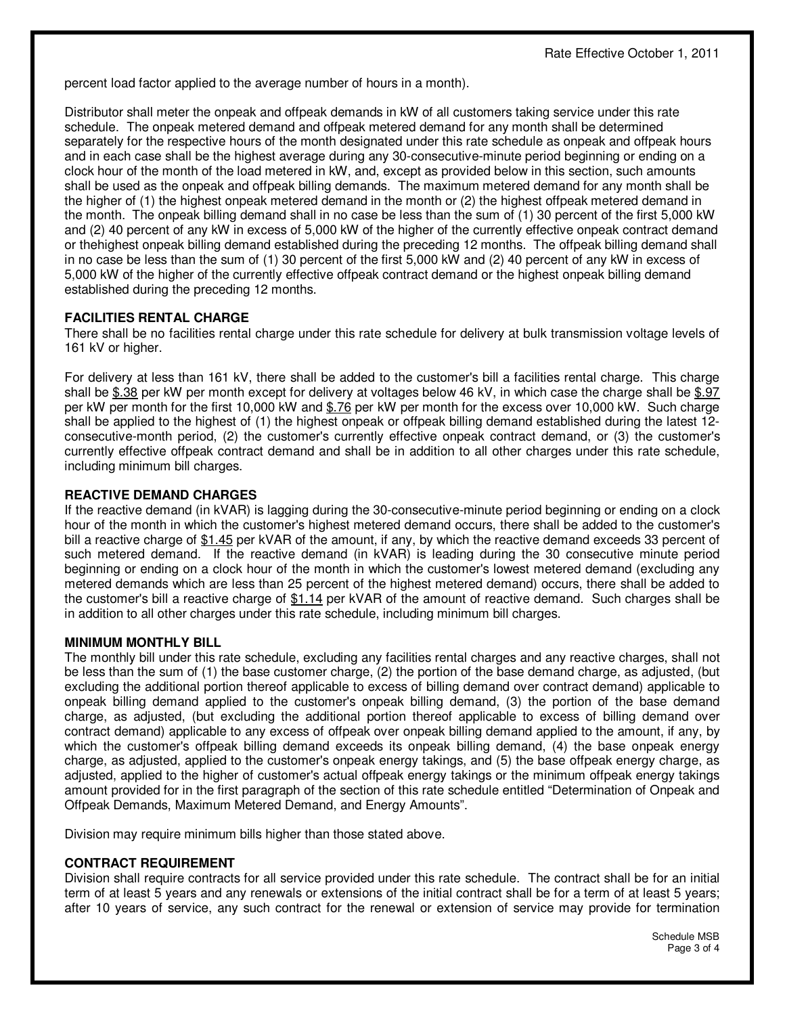percent load factor applied to the average number of hours in a month).

Distributor shall meter the onpeak and offpeak demands in kW of all customers taking service under this rate schedule. The onpeak metered demand and offpeak metered demand for any month shall be determined separately for the respective hours of the month designated under this rate schedule as onpeak and offpeak hours and in each case shall be the highest average during any 30-consecutive-minute period beginning or ending on a clock hour of the month of the load metered in kW, and, except as provided below in this section, such amounts shall be used as the onpeak and offpeak billing demands. The maximum metered demand for any month shall be the higher of (1) the highest onpeak metered demand in the month or (2) the highest offpeak metered demand in the month. The onpeak billing demand shall in no case be less than the sum of (1) 30 percent of the first 5,000 kW and (2) 40 percent of any kW in excess of 5,000 kW of the higher of the currently effective onpeak contract demand or thehighest onpeak billing demand established during the preceding 12 months. The offpeak billing demand shall in no case be less than the sum of (1) 30 percent of the first 5,000 kW and (2) 40 percent of any kW in excess of 5,000 kW of the higher of the currently effective offpeak contract demand or the highest onpeak billing demand established during the preceding 12 months.

## **FACILITIES RENTAL CHARGE**

There shall be no facilities rental charge under this rate schedule for delivery at bulk transmission voltage levels of 161 kV or higher.

For delivery at less than 161 kV, there shall be added to the customer's bill a facilities rental charge. This charge shall be \$.38 per kW per month except for delivery at voltages below 46 kV, in which case the charge shall be \$.97 per kW per month for the first 10,000 kW and \$.76 per kW per month for the excess over 10,000 kW. Such charge shall be applied to the highest of (1) the highest onpeak or offpeak billing demand established during the latest 12 consecutive-month period, (2) the customer's currently effective onpeak contract demand, or (3) the customer's currently effective offpeak contract demand and shall be in addition to all other charges under this rate schedule, including minimum bill charges.

### **REACTIVE DEMAND CHARGES**

If the reactive demand (in kVAR) is lagging during the 30-consecutive-minute period beginning or ending on a clock hour of the month in which the customer's highest metered demand occurs, there shall be added to the customer's bill a reactive charge of \$1.45 per kVAR of the amount, if any, by which the reactive demand exceeds 33 percent of such metered demand. If the reactive demand (in kVAR) is leading during the 30 consecutive minute period beginning or ending on a clock hour of the month in which the customer's lowest metered demand (excluding any metered demands which are less than 25 percent of the highest metered demand) occurs, there shall be added to the customer's bill a reactive charge of \$1.14 per kVAR of the amount of reactive demand. Such charges shall be in addition to all other charges under this rate schedule, including minimum bill charges.

## **MINIMUM MONTHLY BILL**

The monthly bill under this rate schedule, excluding any facilities rental charges and any reactive charges, shall not be less than the sum of (1) the base customer charge, (2) the portion of the base demand charge, as adjusted, (but excluding the additional portion thereof applicable to excess of billing demand over contract demand) applicable to onpeak billing demand applied to the customer's onpeak billing demand, (3) the portion of the base demand charge, as adjusted, (but excluding the additional portion thereof applicable to excess of billing demand over contract demand) applicable to any excess of offpeak over onpeak billing demand applied to the amount, if any, by which the customer's offpeak billing demand exceeds its onpeak billing demand, (4) the base onpeak energy charge, as adjusted, applied to the customer's onpeak energy takings, and (5) the base offpeak energy charge, as adjusted, applied to the higher of customer's actual offpeak energy takings or the minimum offpeak energy takings amount provided for in the first paragraph of the section of this rate schedule entitled "Determination of Onpeak and Offpeak Demands, Maximum Metered Demand, and Energy Amounts".

Division may require minimum bills higher than those stated above.

## **CONTRACT REQUIREMENT**

Division shall require contracts for all service provided under this rate schedule. The contract shall be for an initial term of at least 5 years and any renewals or extensions of the initial contract shall be for a term of at least 5 years; after 10 years of service, any such contract for the renewal or extension of service may provide for termination